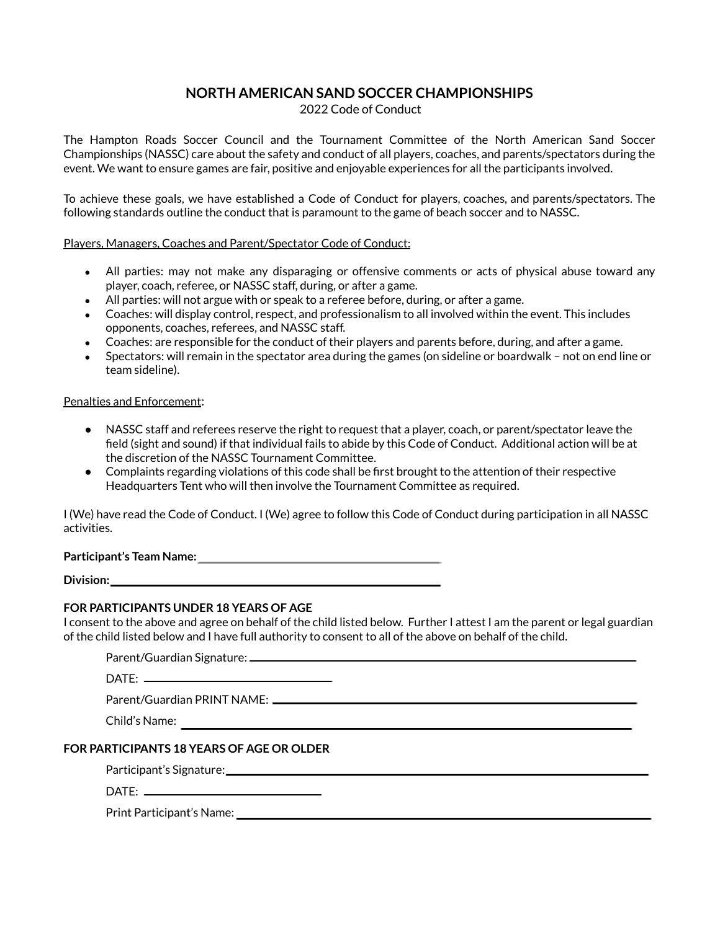## **NORTH AMERICAN SAND SOCCER CHAMPIONSHIPS**

2022 Code of Conduct

The Hampton Roads Soccer Council and the Tournament Committee of the North American Sand Soccer Championships (NASSC) care about the safety and conduct of all players, coaches, and parents/spectators during the event. We want to ensure games are fair, positive and enjoyable experiences for all the participants involved.

To achieve these goals, we have established a Code of Conduct for players, coaches, and parents/spectators. The following standards outline the conduct that is paramount to the game of beach soccer and to NASSC.

#### Players, Managers, Coaches and Parent/Spectator Code of Conduct:

- All parties: may not make any disparaging or offensive comments or acts of physical abuse toward any player, coach, referee, or NASSC staff, during, or after a game.
- $\bullet$  All parties: will not argue with or speak to a referee before, during, or after a game.
- Coaches: will display control, respect, and professionalism to all involved within the event. This includes opponents, coaches, referees, and NASSC staff.
- Coaches: are responsible for the conduct of their players and parents before, during, and after a game.
- Spectators: will remain in the spectator area during the games (on sideline or boardwalk not on end line or team sideline).

#### Penalties and Enforcement:

- NASSC staff and referees reserve the right to request that a player, coach, or parent/spectator leave the field (sight and sound) if that individual fails to abide by this Code of Conduct. Additional action will be at the discretion of the NASSC Tournament Committee.
- Complaints regarding violations of this code shall be first brought to the attention of their respective Headquarters Tent who will then involve the Tournament Committee as required.

I (We) have read the Code of Conduct. I (We) agree to follow this Code of Conduct during participation in all NASSC activities.

## **Participant's Team Name:**

**Division:** 

### **FOR PARTICIPANTS UNDER 18 YEARS OF AGE**

I consent to the above and agree on behalf of the child listed below. Further I attest I am the parent or legal guardian of the child listed below and I have full authority to consent to all of the above on behalf of the child.

| Parent/Guardian Signature: _ |  |
|------------------------------|--|
|                              |  |

DATE:

Parent/Guardian PRINT NAME:

Child's Name:

## **FOR PARTICIPANTS 18 YEARS OF AGE OR OLDER**

Participant's Signature:

 $DATE:$ 

Print Participant's Name: